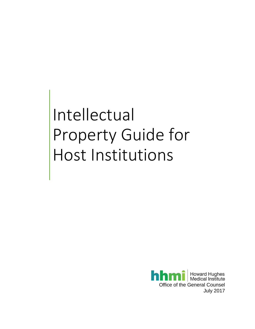# Intellectual Property Guide for Host Institutions

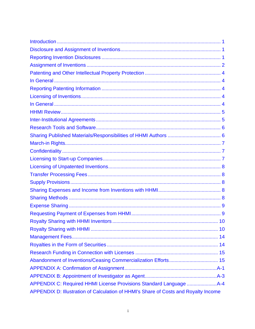| APPENDIX D: Illustration of Calculation of HHMI's Share of Costs and Royalty Income |
|-------------------------------------------------------------------------------------|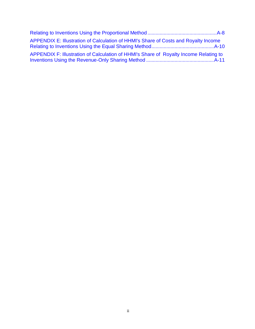| APPENDIX E: Illustration of Calculation of HHMI's Share of Costs and Royalty Income   |  |
|---------------------------------------------------------------------------------------|--|
| APPENDIX F: Illustration of Calculation of HHMI's Share of Royalty Income Relating to |  |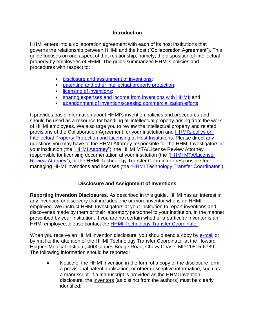## **Introduction**

<span id="page-3-0"></span>HHMI enters into a collaboration agreement with each of its host institutions that governs the relationship between HHMI and the host ("Collaboration Agreement"). This guide focuses on one aspect of that relationship, namely, the disposition of intellectual property by employees of HHMI. The guide summarizes HHMI's policies and procedures with respect to:

- [disclosure and assignment of inventions;](#page-3-1)
- patenting and other intellectual property protection:
- [licensing of inventions;](#page-6-3)
- sharing expenses [and income from inventions with HHMI;](#page-10-3) and
- [abandonment of inventions/](#page-17-1)ceasing commercialization efforts.

It provides basic information about HHMI's invention policies and procedures and should be used as a resource for handling all intellectual property arising from the work of HHMI employees. We also urge you to review the intellectual property and related provisions of the Collaboration Agreement for your institution and **HHMI's policy on** [Intellectual Property Protection and Licensing at Host Institutions.](http://www.hhmi.org/sites/default/files/About/Policies/sc610-licensing-by-host-institutions-to-companies.pdf) Please direct any questions you may have to the HHMI Attorney responsible for the HHMI Investigators at your institution (the ["HHMI Attorney"](http://www.hhmi.org/about/for-our-host-institutions/attorney-assignments)), the HHMI MTA/License Review Attorney responsible for licensing documentation at your institution (the ["HHMI MTA/License](http://www.hhmi.org/about/for-our-host-institutions/mta-assignments)  [Review Attorney"](http://www.hhmi.org/about/for-our-host-institutions/mta-assignments)), or the HHMI Technology Transfer Coordinator responsible for managing HHMI inventions and licenses (the ["HHMI Technology Transfer Coordinator"](mailto:mkitzmil@hhmi.org)).

# **Disclosure and Assignment of Inventions**

<span id="page-3-2"></span><span id="page-3-1"></span>**Reporting Invention Disclosures.** As described in this guide, HHMI has an interest in any invention or discovery that includes one or more inventor who is an HHMI employee. We instruct HHMI Investigators at your institution to report inventions and discoveries made by them or their laboratory personnel to your institution, in the manner prescribed by your institution. If you are not certain whether a particular inventor is an HHMI employee, please contact the **HHMI Technology Transfer Coordinator**.

When you receive an HHMI invention disclosure, you should send a copy by [e-mail](mailto:mkitzmil@hhmi.org) or by mail to the attention of the HHMI Technology Transfer Coordinator at the Howard Hughes Medical Institute, 4000 Jones Bridge Road, Chevy Chase, MD 20815-6789. The following information should be reported:

• Notice of the HHMI invention in the form of a copy of the disclosure form, a provisional patent application, or other descriptive information, such as a manuscript. If a manuscript is provided as the HHMI invention disclosure, the inventors (as distinct from the authors) must be clearly identified;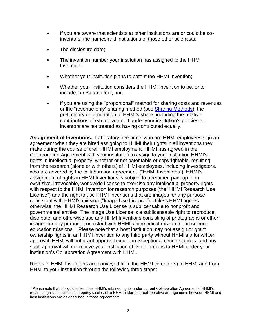- If you are aware that scientists at other institutions are or could be coinventors, the names and institutions of those other scientists;
- The disclosure date:
- The invention number your institution has assigned to the HHMI Invention;
- Whether your institution plans to patent the HHMI Invention;
- Whether your institution considers the HHMI Invention to be, or to include, a research tool; and
- If you are using the "proportional" method for sharing costs and revenues or the "revenue-only" sharing method (see Sharing [Methods\)](#page-10-4), the preliminary determination of HHMI's share, including the relative contributions of each inventor if under your institution's policies all inventors are not treated as having contributed equally.

<span id="page-4-0"></span>**Assignment of Inventions.** Laboratory personnel who are HHMI employees sign an agreement when they are hired assigning to HHMI their rights in all inventions they make during the course of their HHMI employment. HHMI has agreed in the Collaboration Agreement with your institution to assign to your institution HHMI's rights in intellectual property, whether or not patentable or copyrightable, resulting from the research (alone or with others) of HHMI employees, including Investigators, who are covered by the collaboration agreement ("HHMI Inventions"). HHMI's assignment of rights in HHMI Inventions is subject to a retained paid-up, nonexclusive, irrevocable, worldwide license to exercise any intellectual property rights with respect to the HHMI Invention for research purposes (the "HHMI Research Use License") and the right to use HHMI Inventions that are images for any purpose consistent with HHMI's mission ("Image Use License"). Unless HHMI agrees otherwise, the HHMI Research Use License is sublicensable to nonprofit and governmental entities. The Image Use License is a sublicensable right to reproduce, distribute, and otherwise use any HHMI Inventions consisting of photographs or other images for any purpose consistent with HHMI's biomedical research and science education missions.<sup>1</sup> Please note that a host institution may not assign or grant ownership rights in an HHMI Invention to any third party without HHMI's prior written approval. HHMI will not grant approval except in exceptional circumstances, and any such approval will not relieve your institution of its obligations to HHMI under your institution's Collaboration Agreement with HHMI.

Rights in HHMI Inventions are conveyed from the HHMI inventor(s) to HHMI and from HHMI to your institution through the following three steps:

<sup>1</sup> Please note that this guide describes HHMI's retained rights under current Collaboration Agreements. HHMI's retained rights in intellectual property disclosed to HHMI under prior collaborative arrangements between HHMI and host institutions are as described in those agreements.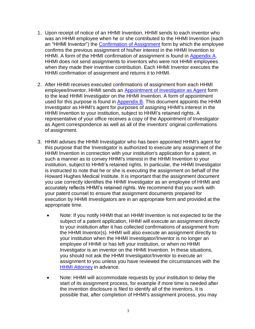- 1. Upon receipt of notice of an HHMI Invention, HHMI sends to each inventor who was an HHMI employee when he or she contributed to the HHMI Invention (each an "HHMI Inventor") the [Confirmation of Assignment](#page-18-0) form by which the employee confirms the previous assignment of his/her interest in the HHMI Invention to HHMI. A form of the HHMI confirmation of assignment is found in [Appendix A.](#page-18-0) HHMI does not send assignments to inventors who were not HHMI employees when they made their inventive contribution. Each HHMI Inventor executes the HHMI confirmation of assignment and returns it to HHMI.
- 2. After HHMI receives executed confirmations of assignment from each HHMI employee/inventor, HHMI sends an [Appointment of Investigator as Agent](#page-20-0) form to the lead HHMI Investigator on the HHMI Invention. A form of appointment used for this purpose is found in [Appendix B.](#page-20-0) This document appoints the HHMI Investigator as HHMI's agent for purposes of assigning HHMI's interest in the HHMI Invention to your institution, subject to HHMI's retained rights. A representative of your office receives a copy of the Appointment of Investigator as Agent correspondence as well as all of the inventors' original confirmations of assignment.
- 3. HHMI advises the HHMI Investigator who has been appointed HHMI's agent for this purpose that the Investigator is authorized to execute any assignment of the HHMI Invention in connection with your institution's application for a patent, in such a manner as to convey HHMI's interest in the HHMI Invention to your institution, subject to HHMI's retained rights. In particular, the HHMI Investigator is instructed to note that he or she is executing the assignment on behalf of the Howard Hughes Medical Institute. It is important that the assignment document you use correctly identifies the HHMI Investigator as an employee of HHMI and accurately reflects HHMI's retained rights. We recommend that you work with your patent counsel to ensure that assignment documents prepared for execution by HHMI Investigators are in an appropriate form and provided at the appropriate time.
	- Note: If you notify HHMI that an HHMI Invention is not expected to be the subject of a patent application, HHMI will execute an assignment directly to your institution after it has collected confirmations of assignment from the HHMI Inventor(s). HHMI will also execute an assignment directly to your institution when the HHMI Investigator/Inventor is no longer an employee of HHMI or has left your institution, or when no HHMI Investigator is an inventor on the HHMI Invention. In these situations, you should not ask the HHMI Investigator/Inventor to execute an assignment to you unless you have reviewed the circumstances with the [HHMI Attorney](http://www.hhmi.org/about/for-our-host-institutions/attorney-assignments) in advance.
	- Note: HHMI will accommodate requests by your institution to delay the start of its assignment process, for example if more time is needed after the invention disclosure is filed to identify all of the inventors. It is possible that, after completion of HHMI's assignment process, you may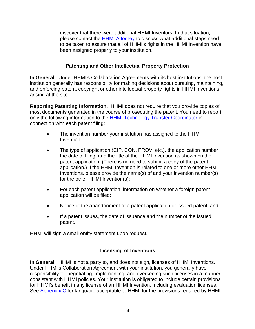discover that there were additional HHMI Inventors. In that situation, please contact the [HHMI Attorney](http://www.hhmi.org/about/for-our-host-institutions/attorney-assignments) to discuss what additional steps need to be taken to assure that all of HHMI's rights in the HHMI Invention have been assigned properly to your institution.

# **Patenting and Other Intellectual Property Protection**

<span id="page-6-1"></span><span id="page-6-0"></span>**In General.** Under HHMI's Collaboration Agreements with its host institutions, the host institution generally has responsibility for making decisions about pursuing, maintaining, and enforcing patent, copyright or other intellectual property rights in HHMI Inventions arising at the site.

<span id="page-6-2"></span>**Reporting Patenting Information.** HHMI does not require that you provide copies of most documents generated in the course of prosecuting the patent. You need to report only the following information to the [HHMI Technology Transfer Coordinator](mailto:mkitzmil@hhmi.org) in connection with each patent filing:

- The invention number your institution has assigned to the HHMI Invention;
- The type of application (CIP, CON, PROV, etc.), the application number, the date of filing, and the title of the HHMI Invention as shown on the patent application. (There is no need to submit a copy of the patent application.) If the HHMI Invention is related to one or more other HHMI Inventions, please provide the name(s) of and your invention number(s) for the other HHMI Invention(s);
- For each patent application, information on whether a foreign patent application will be filed;
- Notice of the abandonment of a patent application or issued patent; and
- If a patent issues, the date of issuance and the number of the issued patent.

HHMI will sign a small entity statement upon request.

# **Licensing of Inventions**

<span id="page-6-4"></span><span id="page-6-3"></span>**In General.** HHMI is not a party to, and does not sign, licenses of HHMI Inventions. Under HHMI's Collaboration Agreement with your institution, you generally have responsibility for negotiating, implementing, and overseeing such licenses in a manner consistent with HHMI policies. Your institution is obligated to include certain provisions for HHMI's benefit in any license of an HHMI Invention, including evaluation licenses. See [Appendix C](#page-21-0) for language acceptable to HHMI for the provisions required by HHMI.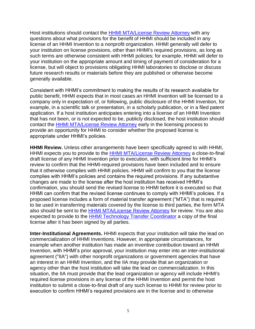Host institutions should contact the [HHMI MTA/License Review Attorney](http://www.hhmi.org/about/for-our-host-institutions/mta-assignments) with any questions about what provisions for the benefit of HHMI should be included in any license of an HHMI Invention to a nonprofit organization. HHMI generally will defer to your institution on license provisions, other than HHMI's required provisions, as long as such terms are otherwise consistent with HHMI policies; for example, HHMI will defer to your institution on the appropriate amount and timing of payment of consideration for a license, but will object to provisions obligating HHMI laboratories to disclose or discuss future research results or materials before they are published or otherwise become generally available.

Consistent with HHMI's commitment to making the results of its research available for public benefit, HHMI expects that in most cases an HHMI Invention will be licensed to a company only in expectation of, or following, public disclosure of the HHMI Invention, for example, in a scientific talk or presentation, in a scholarly publication, or in a filed patent application. If a host institution anticipates entering into a license of an HHMI Invention that has not been, or is not expected to be, publicly disclosed, the host institution should contact the [HHMI MTA/License Review Attorney](http://www.hhmi.org/about/for-our-host-institutions/mta-assignments) early in the licensing process to provide an opportunity for HHMI to consider whether the proposed license is appropriate under HHMI's policies.

<span id="page-7-0"></span>**HHMI Review.** Unless other arrangements have been specifically agreed to with HHMI, HHMI expects you to provide to the [HHMI MTA/License Review Attorney](http://www.hhmi.org/about/for-our-host-institutions/mta-assignments) a close-to-final draft license of any HHMI Invention prior to execution, with sufficient time for HHMI's review to confirm that the HHMI-required provisions have been included and to ensure that it otherwise complies with HHMI policies. HHMI will confirm to you that the license complies with HHMI's policies and contains the required provisions. If any substantive changes are made to the license after the host institution has received HHMI's confirmation, you should send the revised license to HHMI before it is executed so that HHMI can confirm that the revised license continues to comply with HHMI's policies. If a proposed license includes a form of material transfer agreement ("MTA") that is required to be used in transferring materials covered by the license to third parties, the form MTA also should be sent to the [HHMI MTA/License Review Attorney](http://www.hhmi.org/about/for-our-host-institutions/mta-assignments) for review. You are also expected to provide to the **HHMI Technology Transfer Coordinator** a copy of the final license after it has been signed by all parties.

<span id="page-7-1"></span>**Inter-Institutional Agreements.** HHMI expects that your institution will take the lead on commercialization of HHMI Inventions. However, in appropriate circumstances, for example when another institution has made an inventive contribution toward an HHMI Invention, with HHMI's prior approval, your institution may enter into an inter-institutional agreement ("IIA") with other nonprofit organizations or government agencies that have an interest in an HHMI Invention, and the IIA may provide that an organization or agency other than the host institution will take the lead on commercialization. In this situation, the IIA must provide that the lead organization or agency will include HHMI's required license provisions in any license of the HHMI Invention and permit the host institution to submit a close-to-final draft of any such license to HHMI for review prior to execution to confirm HHMI's required provisions are in the license and to otherwise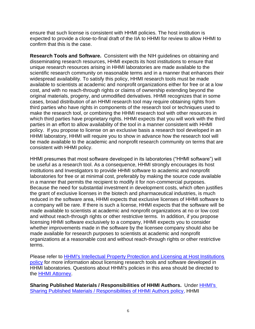ensure that such license is consistent with HHMI policies. The host institution is expected to provide a close-to-final draft of the IIA to HHMI for review to allow HHMI to confirm that this is the case.

<span id="page-8-0"></span>**Research Tools and Software.** Consistent with the NIH guidelines on obtaining and disseminating research resources, HHMI expects its host institutions to ensure that unique research resources arising in HHMI laboratories are made available to the scientific research community on reasonable terms and in a manner that enhances their widespread availability. To satisfy this policy, HHMI research tools must be made available to scientists at academic and nonprofit organizations either for free or at a low cost, and with no reach-through rights or claims of ownership extending beyond the original materials, progeny, and unmodified derivatives. HHMI recognizes that in some cases, broad distribution of an HHMI research tool may require obtaining rights from third parties who have rights in components of the research tool or techniques used to make the research tool, or combining the HHMI research tool with other resources in which third parties have proprietary rights. HHMI expects that you will work with the third parties in an effort to allow availability of the tool in a manner consistent with HHMI policy. If you propose to license on an exclusive basis a research tool developed in an HHMI laboratory, HHMI will require you to show in advance how the research tool will be made available to the academic and nonprofit research community on terms that are consistent with HHMI policy.

HHMI presumes that most software developed in its laboratories ("HHMI software") will be useful as a research tool. As a consequence, HHMI strongly encourages its host institutions and Investigators to provide HHMI software to academic and nonprofit laboratories for free or at minimal cost, preferably by making the source code available in a manner that permits the recipient to modify it for non-commercial purposes. Because the need for substantial investment in development costs, which often justifies the grant of exclusive licenses in the biotech and pharmaceutical industries, is much reduced in the software area, HHMI expects that exclusive licenses of HHMI software to a company will be rare. If there is such a license, HHMI expects that the software will be made available to scientists at academic and nonprofit organizations at no or low cost and without reach-through rights or other restrictive terms. In addition, if you propose licensing HHMI software exclusively to a company, HHMI expects you to consider whether improvements made in the software by the licensee company should also be made available for research purposes to scientists at academic and nonprofit organizations at a reasonable cost and without reach-through rights or other restrictive terms.

Please refer to [HHMI's Intellectual Property Protection and Licensing at Host Institutions](http://www.hhmi.org/sites/default/files/About/Policies/sc610-licensing-by-host-institutions-to-companies.pdf)  [policy](http://www.hhmi.org/sites/default/files/About/Policies/sc610-licensing-by-host-institutions-to-companies.pdf) for more information about licensing research tools and software developed in HHMI laboratories. Questions about HHMI's policies in this area should be directed to the [HHMI Attorney.](http://www.hhmi.org/about/for-our-host-institutions/attorney-assignments)

<span id="page-8-1"></span>**Sharing Published Materials / Responsibilities of HHMI Authors.** Under [HHMI's](http://www.hhmi.org/sites/default/files/About/Policies/sc_300.pdf)  [Sharing Published Materials / Responsibilities of HHMI Authors policy,](http://www.hhmi.org/sites/default/files/About/Policies/sc_300.pdf) HHMI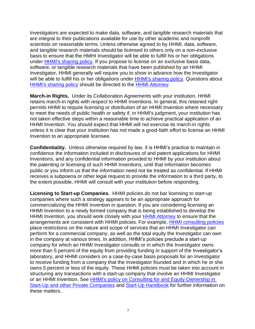Investigators are expected to make data, software, and tangible research materials that are integral to their publications available for use by other academic and nonprofit scientists on reasonable terms. Unless otherwise agreed to by HHMI, data, software, and tangible research materials should be licensed to others only on a non-exclusive basis to ensure that the HMHI Investigator will be able to fulfill his or her obligations under **HHMI's sharing policy**. If you propose to license on an exclusive basis data, software, or tangible research materials that have been published by an HHMI Investigator, HHMI generally will require you to show in advance how the Investigator will be able to fulfill his or her obligations under [HHMI's sharing policy.](http://www.hhmi.org/sites/default/files/About/Policies/sc_300.pdf) Questions about [HHMI's sharing policy](http://www.hhmi.org/sites/default/files/About/Policies/sc_300.pdf) should be directed to the [HHMI Attorney.](http://www.hhmi.org/about/for-our-host-institutions/attorney-assignments)

<span id="page-9-0"></span>**March-in Rights.** Under its Collaboration Agreements with your institution, HHMI retains march-in rights with respect to HHMI Inventions. In general, this retained right permits HHMI to require licensing or distribution of an HHMI Invention where necessary to meet the needs of public health or safety if, in HHMI's judgment, your institution has not taken effective steps within a reasonable time to achieve practical application of an HHMI Invention. You should expect that HHMI will not exercise its march-in rights unless it is clear that your institution has not made a good-faith effort to license an HHMI Invention to an appropriate licensee.

<span id="page-9-1"></span>**Confidentiality.** Unless otherwise required by law, it is HHMI's practice to maintain in confidence the information included in disclosures of and patent applications for HHMI Inventions, and any confidential information provided to HHMI by your institution about the patenting or licensing of such HHMI Inventions, until that information becomes public or you inform us that the information need not be treated as confidential. If HHMI receives a subpoena or other legal request to provide the information to a third party, to the extent possible, HHMI will consult with your institution before responding.

<span id="page-9-2"></span>**Licensing to Start-up Companies.** HHMI policies do not bar licensing to start-up companies where such a strategy appears to be an appropriate approach for commercializing the HHMI Invention in question. If you are considering licensing an HHMI Invention to a newly formed company that is being established to develop the HHMI Invention, you should work closely with your **HHMI Attorney** to ensure that the arrangements are consistent with HHMI policies. For example, [HHMI consulting policies](http://www.hhmi.org/about/policies#consulting) place restrictions on the nature and scope of services that an HHMI Investigator can perform for a commercial company, as well as the total equity the Investigator can own in the company at various times. In addition, HHMI's policies preclude a start-up company for which an HHMI Investigator consults or in which the Investigator owns more than 5 percent of the equity from providing funding in support of the Investigator's laboratory, and HHMI considers on a case-by-case basis proposals for an Investigator to receive funding from a company that the Investigator founded and in which he or she owns 5 percent or less of the equity. These HHMI policies must be taken into account in structuring any transactions with a start-up company that involve an HHMI Investigator or an HHMI Invention. See [HHMI's policy on Consulting for and Equity Ownership in](http://www.hhmi.org/sites/default/files/About/Policies/sc520-research-startup-consulting-policies.pdf)  [Start-Up and other Private Companies](http://www.hhmi.org/sites/default/files/About/Policies/sc520-research-startup-consulting-policies.pdf) and [Start-Up Handbook](http://www.hhmi.org/sites/default/files/About/Policies/start-up-handbook.pdf) for further information on these matters.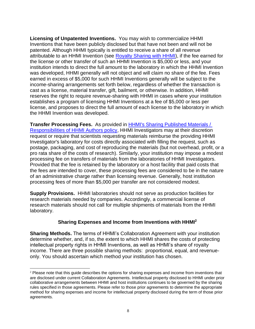<span id="page-10-0"></span>**Licensing of Unpatented Inventions.** You may wish to commercialize HHMI Inventions that have been publicly disclosed but that have not been and will not be patented. Although HHMI typically is entitled to receive a share of all revenue attributable to an HHMI Invention (see [Royalty Sharing with HHMI\)](#page-12-1), if the fee earned for the license or other transfer of such an HHMI Invention is \$5,000 or less, and your institution intends to direct the full amount to the laboratory in which the HHMI Invention was developed, HHMI generally will not object and will claim no share of the fee. Fees earned in excess of \$5,000 for such HHMI Inventions generally will be subject to the income-sharing arrangements set forth below, regardless of whether the transaction is cast as a license, material transfer, gift, bailment, or otherwise. In addition, HHMI reserves the right to require revenue-sharing with HHMI in cases where your institution establishes a program of licensing HHMI Inventions at a fee of \$5,000 or less per license, and proposes to direct the full amount of each license to the laboratory in which the HHMI Invention was developed.

<span id="page-10-1"></span>**Transfer Processing Fees.** As provided in [HHMI's Sharing Published Materials /](http://www.hhmi.org/sites/default/files/About/Policies/sc_300.pdf)  [Responsibilities of HHMI Authors policy,](http://www.hhmi.org/sites/default/files/About/Policies/sc_300.pdf) HHMI Investigators may at their discretion request or require that scientists requesting materials reimburse the providing HHMI Investigator's laboratory for costs directly associated with filling the request, such as postage, packaging, and cost of reproducing the materials (but not overhead, profit, or a pro rata share of the costs of research). Similarly, your institution may impose a modest processing fee on transfers of materials from the laboratories of HHMI Investigators. Provided that the fee is retained by the laboratory or a host facility that paid costs that the fees are intended to cover, these processing fees are considered to be in the nature of an administrative charge rather than licensing revenue. Generally, host institution processing fees of more than \$5,000 per transfer are not considered modest.

<span id="page-10-2"></span>**Supply Provisions.** HHMI laboratories should not serve as production facilities for research materials needed by companies. Accordingly, a commercial license of research materials should not call for multiple shipments of materials from the HHMI laboratory.

# **Sharing Expenses and Income from Inventions with HHMI<sup>2</sup>**

<span id="page-10-4"></span><span id="page-10-3"></span>**Sharing Methods.** The terms of HHMI's Collaboration Agreement with your institution determine whether, and, if so, the extent to which HHMI shares the costs of protecting intellectual property rights in HHMI Inventions, as well as HHMI's share of royalty income. There are three possible sharing methods: proportional, equal, and revenueonly. You should ascertain which method your institution has chosen.

 $2$  Please note that this guide describes the options for sharing expenses and income from inventions that are disclosed under current Collaboration Agreements. Intellectual property disclosed to HHMI under prior collaborative arrangements between HHMI and host institutions continues to be governed by the sharing rules specified in those agreements. Please refer to those prior agreements to determine the appropriate method for sharing expenses and income for intellectual property disclosed during the term of those prior agreements.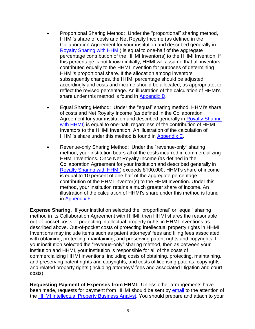- Proportional Sharing Method: Under the "proportional" sharing method, HHMI's share of costs and Net Royalty Income (as defined in the Collaboration Agreement for your institution and described generally in [Royalty Sharing with HHMI\)](#page-12-1) is equal to one-half of the aggregate percentage contribution of the HHMI Inventor(s) to the HHMI Invention. If this percentage is not known initially, HHMI will assume that all inventors contributed equally to the HHMI Invention for purposes of determining HHMI's proportional share. If the allocation among inventors subsequently changes, the HHMI percentage should be adjusted accordingly and costs and income should be allocated, as appropriate, to reflect the revised percentage. An illustration of the calculation of HHMI's share under this method is found in [Appendix D.](#page-25-0)
- Equal Sharing Method: Under the "equal" sharing method, HHMI's share of costs and Net Royalty Income (as defined in the Collaboration Agreement for your institution and described generally in [Royalty Sharing](#page-12-1)  [with HHMI\)](#page-12-1) is equal to one-half, regardless of the contribution of HHMI Inventors to the HHMI Invention. An illustration of the calculation of HHMI's share under this method is found in [Appendix E.](#page-27-0)
- Revenue-only Sharing Method: Under the "revenue-only" sharing method, your institution bears all of the costs incurred in commercializing HHMI Inventions. Once Net Royalty Income (as defined in the Collaboration Agreement for your institution and described generally in [Royalty Sharing with HHMI\)](#page-12-1) exceeds \$100,000, HHMI's share of income is equal to 10 percent of one-half of the aggregate percentage contribution of the HHMI Inventor(s) to the HHMI Invention. Under this method, your institution retains a much greater share of income. An illustration of the calculation of HHMI's share under this method is found in [Appendix F.](#page-28-0)

<span id="page-11-0"></span>**Expense Sharing.** If your institution selected the "proportional" or "equal" sharing method in its Collaboration Agreement with HHMI, then HHMI shares the reasonable out-of-pocket costs of protecting intellectual property rights in HHMI Inventions as described above. Out-of-pocket costs of protecting intellectual property rights in HHMI Inventions may include items such as patent attorneys' fees and filing fees associated with obtaining, protecting, maintaining, and preserving patent rights and copyrights. If your institution selected the "revenue-only" sharing method, then as between your institution and HHMI, your institution is responsible for all of the costs of commercializing HHMI Inventions, including costs of obtaining, protecting, maintaining, and preserving patent rights and copyrights, and costs of licensing patents, copyrights and related property rights (including attorneys' fees and associated litigation and court costs).

<span id="page-11-1"></span>**Requesting Payment of Expenses from HHMI**. Unless other arrangements have been made, requests for payment from HHMI should be sent by [email](mailto:ipbusadmin@hhmi.org) to the attention of the [HHMI Intellectual Property Business Analyst.](mailto:ipbusadmin@hhmi.org) You should prepare and attach to your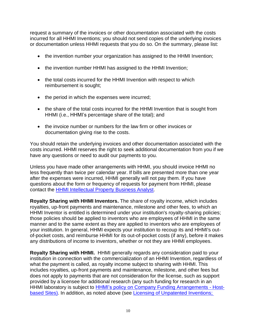request a summary of the invoices or other documentation associated with the costs incurred for all HHMI Inventions; you should not send copies of the underlying invoices or documentation unless HHMI requests that you do so. On the summary, please list:

- the invention number your organization has assigned to the HHMI Invention;
- the invention number HHMI has assigned to the HHMI Invention;
- the total costs incurred for the HHMI Invention with respect to which reimbursement is sought;
- the period in which the expenses were incurred;
- the share of the total costs incurred for the HHMI Invention that is sought from HHMI (i.e., HHMI's percentage share of the total); and
- the invoice number or numbers for the law firm or other invoices or documentation giving rise to the costs.

You should retain the underlying invoices and other documentation associated with the costs incurred. HHMI reserves the right to seek additional documentation from you if we have any questions or need to audit our payments to you.

Unless you have made other arrangements with HHMI, you should invoice HHMI no less frequently than twice per calendar year. If bills are presented more than one year after the expenses were incurred, HHMI generally will not pay them. If you have questions about the form or frequency of requests for payment from HHMI, please contact the [HHMI Intellectual Property Business Analyst.](mailto:ipbusadmin@hhmi.org)

<span id="page-12-0"></span>**Royalty Sharing with HHMI Inventors.** The share of royalty income, which includes royalties, up-front payments and maintenance, milestone and other fees, to which an HHMI Inventor is entitled is determined under your institution's royalty-sharing policies; those policies should be applied to inventors who are employees of HHMI in the same manner and to the same extent as they are applied to inventors who are employees of your institution. In general, HHMI expects your institution to recoup its and HHMI's outof-pocket costs, and reimburse HHMI for its out-of-pocket costs (if any), before it makes any distributions of income to inventors, whether or not they are HHMI employees.

<span id="page-12-1"></span>**Royalty Sharing with HHMI.** HHMI generally regards any consideration paid to your institution in connection with the commercialization of an HHMI Invention, regardless of what the payment is called, as royalty income subject to sharing with HHMI. This includes royalties, up-front payments and maintenance, milestone, and other fees but does not apply to payments that are not consideration for the license, such as support provided by a licensee for additional research (any such funding for research in an HHMI laboratory is subject to HHMI's policy on [Company Funding Arrangements -](http://www.hhmi.org/sites/default/files/About/Policies/sc350-company-funding-policy.pdf) Host[based Sites\)](http://www.hhmi.org/sites/default/files/About/Policies/sc350-company-funding-policy.pdf). In addition, as noted above (see [Licensing of Unpatented Inventions;](#page-10-0)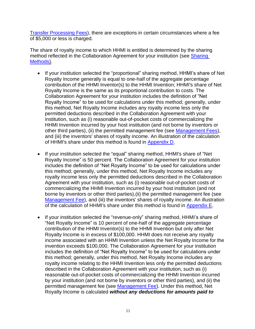Transfer Processing Fees), there are exceptions in certain circumstances where a fee of \$5,000 or less is charged.

The share of royalty income to which HHMI is entitled is determined by the sharing method reflected in the Collaboration Agreement for your institution (see [Sharing](#page-10-4) [Methods\)](#page-10-4).

- If your institution selected the "proportional" sharing method, HHMI's share of Net Royalty Income generally is equal to one-half of the aggregate percentage contribution of the HHMI Inventor(s) to the HHMI Invention; HHMI's share of Net Royalty Income is the same as its proportional contribution to costs. The Collaboration Agreement for your institution includes the definition of "Net Royalty Income" to be used for calculations under this method; generally, under this method, Net Royalty Income includes any royalty income less only the permitted deductions described in the Collaboration Agreement with your institution, such as (i) reasonable out-of-pocket costs of commercializing the HHMI Invention incurred by your host institution (and not borne by inventors or other third parties), (ii) the permitted management fee (see [Management Fees\)](#page-16-0), and (iii) the inventors' shares of royalty income. An illustration of the calculation of HHMI's share under this method is found in [Appendix D.](#page-25-0)
- If your institution selected the "equal" sharing method, HHMI's share of "Net Royalty Income" is 50 percent. The Collaboration Agreement for your institution includes the definition of "Net Royalty Income" to be used for calculations under this method; generally, under this method, Net Royalty Income includes any royalty income less only the permitted deductions described in the Collaboration Agreement with your institution, such as (i) reasonable out-of-pocket costs of commercializing the HHMI Invention incurred by your host institution (and not borne by inventors or other third parties),(ii) the permitted management fee (see [Management Fee\)](#page-16-0), and (iii) the inventors' shares of royalty income. An illustration of the calculation of HHMI's share under this method is found in [Appendix E.](#page-27-0)
- If your institution selected the "revenue-only" sharing method, HHMI's share of "Net Royalty Income" is 10 percent of one-half of the aggregate percentage contribution of the HHMI Inventor(s) to the HHMI Invention but only after Net Royalty Income is in excess of \$100,000. HHMI does not receive any royalty income associated with an HHMI Invention unless the Net Royalty Income for the invention exceeds \$100,000. The Collaboration Agreement for your institution includes the definition of "Net Royalty Income" to be used for calculations under this method; generally, under this method, Net Royalty Income includes any royalty income relating to the HHMI Invention less only the permitted deductions described in the Collaboration Agreement with your institution, such as (i) reasonable out-of-pocket costs of commercializing the HHMI Invention incurred by your institution (and not borne by inventors or other third parties), and (ii) the permitted management fee (see [Management Fee\)](#page-16-0). Under this method, Net Royalty Income is calculated *without any deductions for amounts paid to*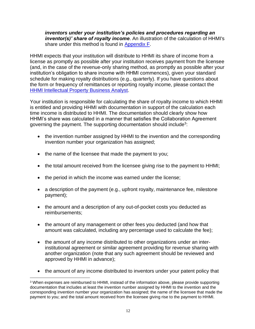## *inventors under your institution's policies and procedures regarding an inventor(s)' share of royalty income*. An illustration of the calculation of HHMI's share under this method is found in [Appendix F.](#page-28-0)

HHMI expects that your institution will distribute to HHMI its share of income from a license as promptly as possible after your institution receives payment from the licensee (and, in the case of the revenue-only sharing method, as promptly as possible after your institution's obligation to share income with HHMI commences), given your standard schedule for making royalty distributions (e.g., quarterly). If you have questions about the form or frequency of remittances or reporting royalty income, please contact the [HHMI Intellectual Property Business Analyst.](mailto:ipbusadmin@hhmi.org)

Your institution is responsible for calculating the share of royalty income to which HHMI is entitled and providing HHMI with documentation in support of the calculation each time income is distributed to HHMI. The documentation should clearly show how HHMI's share was calculated in a manner that satisfies the Collaboration Agreement governing the payment. The supporting documentation should include<sup>3</sup>:

- the invention number assigned by HHMI to the invention and the corresponding invention number your organization has assigned;
- the name of the licensee that made the payment to you;
- the total amount received from the licensee giving rise to the payment to HHMI;
- the period in which the income was earned under the license;
- a description of the payment (e.g., upfront royalty, maintenance fee, milestone payment);
- the amount and a description of any out-of-pocket costs you deducted as reimbursements;
- the amount of any management or other fees you deducted (and how that amount was calculated, including any percentage used to calculate the fee);
- the amount of any income distributed to other organizations under an interinstitutional agreement or similar agreement providing for revenue sharing with another organization (note that any such agreement should be reviewed and approved by HHMI in advance);
- the amount of any income distributed to inventors under your patent policy that

<sup>&</sup>lt;sup>3</sup> When expenses are reimbursed to HHMI, instead of the information above, please provide supporting documentation that includes at least the invention number assigned by HHMI to the invention and the corresponding invention number your organization has assigned; the name of the licensee that made the payment to you; and the total amount received from the licensee giving rise to the payment to HHMI.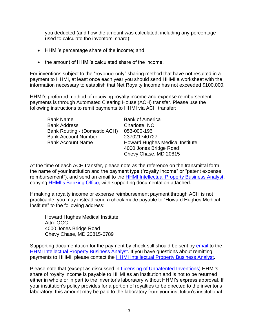you deducted (and how the amount was calculated, including any percentage used to calculate the inventors' share);

- HHMI's percentage share of the income; and
- the amount of HHMI's calculated share of the income.

For inventions subject to the "revenue-only" sharing method that have not resulted in a payment to HHMI, at least once each year you should send HHMI a worksheet with the information necessary to establish that Net Royalty Income has not exceeded \$100,000.

HHMI's preferred method of receiving royalty income and expense reimbursement payments is through Automated Clearing House (ACH) transfer. Please use the following instructions to remit payments to HHMI via ACH transfer:

| <b>Bank Name</b>              | <b>Bank of America</b>                 |
|-------------------------------|----------------------------------------|
| <b>Bank Address</b>           | Charlotte, NC                          |
| Bank Routing - (Domestic ACH) | 053-000-196                            |
| <b>Bank Account Number</b>    | 237021740727                           |
| <b>Bank Account Name</b>      | <b>Howard Hughes Medical Institute</b> |
|                               | 4000 Jones Bridge Road                 |
|                               | Chevy Chase, MD 20815                  |

At the time of each ACH transfer, please note as the reference on the transmittal form the name of your institution and the payment type ("royalty income" or "patent expense reimbursement"), and send an email to the [HHMI Intellectual Property Business Analyst,](mailto:ipbusadmin@hhmi.org) copying [HHMI's Banking Office,](mailto:bankingoffice@hhmi.org) with supporting documentation attached.

If making a royalty income or expense reimbursement payment through ACH is not practicable, you may instead send a check made payable to "Howard Hughes Medical Institute" to the following address:

Howard Hughes Medical Institute Attn: OGC 4000 Jones Bridge Road Chevy Chase, MD 20815-6789

Supporting documentation for the payment by check still should be sent by [email](mailto:ipbusadmin@hhmi.org) to the [HHMI Intellectual Property Business Analyst.](mailto:ipbusadmin@hhmi.org) If you have questions about remitting payments to HHMI, please contact the [HHMI Intellectual Property Business Analyst.](mailto:ipbusadmin@hhmi.org)

Please note that (except as discussed in [Licensing of Unpatented Inventions\)](#page-10-0) HHMI's share of royalty income is payable to HHMI as an institution and is not to be returned either in whole or in part to the inventor's laboratory without HHMI's express approval. If your institution's policy provides for a portion of royalties to be directed to the inventor's laboratory, this amount may be paid to the laboratory from your institution's institutional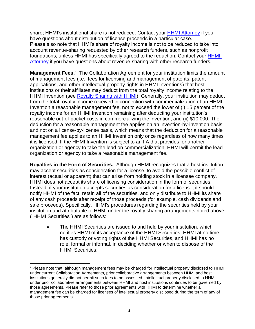share; HHMI's institutional share is not reduced. Contact your [HHMI Attorney](http://www.hhmi.org/about/for-our-host-institutions/attorney-assignments) if you have questions about distribution of license proceeds in a particular case. Please also note that HHMI's share of royalty income is not to be reduced to take into account revenue-sharing requested by other research funders, such as nonprofit foundations, unless [HHMI](http://www.hhmi.org/about/for-our-host-institutions/attorney-assignments) has specifically agreed to the reduction. Contact your **HHMI** [Attorney](http://www.hhmi.org/about/for-our-host-institutions/attorney-assignments) if you have questions about revenue-sharing with other research funders.

<span id="page-16-0"></span>**Management Fees.**<sup>4</sup> The Collaboration Agreement for your institution limits the amount of management fees (i.e., fees for licensing and management of patents, patent applications, and other intellectual property rights in HHMI Inventions) that host institutions or their affiliates may deduct from the total royalty income relating to the HHMI Invention (see [Royalty Sharing with HHMI\)](#page-12-1). Generally, your institution may deduct from the total royalty income received in connection with commercialization of an HHMI Invention a reasonable management fee, not to exceed the lower of (i) 15 percent of the royalty income for an HHMI Invention remaining after deducting your institution's reasonable out-of-pocket costs in commercializing the invention, and (ii) \$10,000. The deduction for a reasonable management fee applies on an invention-by-invention basis, and not on a license-by-license basis, which means that the deduction for a reasonable management fee applies to an HHMI Invention only once regardless of how many times it is licensed. If the HHMI Invention is subject to an IIA that provides for another organization or agency to take the lead on commercialization, HHMI will permit the lead organization or agency to take a reasonable management fee.

<span id="page-16-1"></span>**Royalties in the Form of Securities.** Although HHMI recognizes that a host institution may accept securities as consideration for a license, to avoid the possible conflict of interest (actual or apparent) that can arise from holding stock in a licensee company, HHMI does not accept its share of licensing consideration in the form of securities. Instead, if your institution accepts securities as consideration for a license, it should notify HHMI of the fact, retain all of the securities, and only distribute to HHMI its share of any cash proceeds after receipt of those proceeds (for example, cash dividends and sale proceeds). Specifically, HHMI's procedures regarding the securities held by your institution and attributable to HHMI under the royalty sharing arrangements noted above ("HHMI Securities") are as follows:

• The HHMI Securities are issued to and held by your institution, which notifies HHMI of its acceptance of the HHMI Securities. HHMI at no time has custody or voting rights of the HHMI Securities, and HHMI has no role, formal or informal, in deciding whether or when to dispose of the HHMI Securities;

<sup>4</sup> Please note that, although management fees may be charged for intellectual property disclosed to HHMI under current Collaboration Agreements, prior collaborative arrangements between HHMI and host institutions generally did not permit such fees to be assessed. Intellectual property disclosed to HHMI under prior collaborative arrangements between HHMI and host institutions continues to be governed by those agreements. Please refer to those prior agreements with HHMI to determine whether a management fee can be charged for licenses of intellectual property disclosed during the term of any of those prior agreements.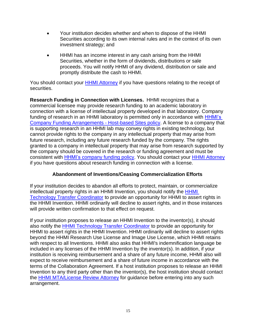- Your institution decides whether and when to dispose of the HHMI Securities according to its own internal rules and in the context of its own investment strategy; and
- HHMI has an income interest in any cash arising from the HHMI Securities, whether in the form of dividends, distributions or sale proceeds. You will notify HHMI of any dividend, distribution or sale and promptly distribute the cash to HHMI.

You should contact your [HHMI Attorney](http://www.hhmi.org/about/for-our-host-institutions/attorney-assignments) if you have questions relating to the receipt of securities.

<span id="page-17-0"></span>**Research Funding in Connection with Licenses.** HHMI recognizes that a commercial licensee may provide research funding to an academic laboratory in connection with a license of intellectual property developed in that laboratory. Company funding of research in an HHMI laboratory is permitted only in accordance with HHMI's [Company Funding Arrangements -](http://www.hhmi.org/sites/default/files/About/Policies/sc350-company-funding-policy.pdf) Host-based Sites policy. A license to a company that is supporting research in an HHMI lab may convey rights in existing technology, but cannot provide rights to the company in any intellectual property that may arise from future research, including any future research funded by the company. The rights granted to a company in intellectual property that may arise from research supported by the company should be covered in the research or funding agreement and must be consistent with **HHMI's company funding policy**. You should contact your **HHMI** Attorney if you have questions about research funding in connection with a license.

# **Abandonment of Inventions/Ceasing Commercialization Efforts**

<span id="page-17-1"></span>If your institution decides to abandon all efforts to protect, maintain, or commercialize intellectual property rights in an HHMI Invention, you should notify the [HHMI](mailto:mkitzmil@hhmi.org)  [Technology Transfer Coordinator](mailto:mkitzmil@hhmi.org) to provide an opportunity for HHMI to assert rights in the HHMI Invention. HHMI ordinarily will decline to assert rights, and in those instances will provide written confirmation to that effect on request.

If your institution proposes to release an HHMI Invention to the inventor(s), it should also notify the **HHMI Technology Transfer Coordinator** to provide an opportunity for HHMI to assert rights in the HHMI Invention. HHMI ordinarily will decline to assert rights beyond the HHMI Research Use License and Image Use License, which HHMI retains with respect to all Inventions. HHMI also asks that HHMI's indemnification language be included in any licenses of the HHMI Invention by the inventor(s). In addition, if your institution is receiving reimbursement and a share of any future income, HHMI also will expect to receive reimbursement and a share of future income in accordance with the terms of the Collaboration Agreement. If a host institution proposes to release an HHMI Invention to any third party other than the inventor(s), the host institution should contact the [HHMI MTA/License](mailto:http://www.hhmi.org/about/for-our-host-institutions/material-transfer-agreements-mtas-and-license-review) Review Attorney for guidance before entering into any such arrangement.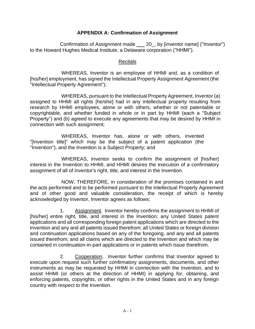## **APPENDIX A: Confirmation of Assignment**

<span id="page-18-0"></span>Confirmation of Assignment made 20\_, by [inventor name] ("Inventor") to the Howard Hughes Medical Institute, a Delaware corporation ("HHMI").

## Recitals

WHEREAS, Inventor is an employee of HHMI and, as a condition of [his/her] employment, has signed the Intellectual Property Assignment Agreement (the "Intellectual Property Agreement");

WHEREAS, pursuant to the Intellectual Property Agreement, Inventor (a) assigned to HHMI all rights [he/she] had in any intellectual property resulting from research by HHMI employees, alone or with others, whether or not patentable or copyrightable, and whether funded in whole or in part by HHMI (each a "Subject Property") and (b) agreed to execute any agreements that may be desired by HHMI in connection with such assignment;

WHEREAS, Inventor has, alone or with others, invented "[Invention title]" which may be the subject of a patent application (the "Invention"), and the Invention is a Subject Property; and

WHEREAS, Inventor seeks to confirm the assignment of [his/her] interest in the Invention to HHMI, and HHMI desires the execution of a confirmatory assignment of all of Inventor's right, title, and interest in the Invention.

NOW, THEREFORE, in consideration of the promises contained in and the acts performed and to be performed pursuant to the Intellectual Property Agreement and of other good and valuable consideration, the receipt of which is hereby acknowledged by Inventor, Inventor agrees as follows:

1. Assignment. Inventor hereby confirms the assignment to HHMI of [his/her] entire right, title, and interest in the Invention; any United States patent applications and all corresponding foreign patent applications which are directed to the Invention and any and all patents issued therefrom; all United States or foreign division and continuation applications based on any of the foregoing, and any and all patents issued therefrom; and all claims which are directed to the Invention and which may be contained in continuation-in-part applications or in patents which issue therefrom.

2. Cooperation. Inventor further confirms that Inventor agreed to execute upon request such further confirmatory assignments, documents, and other instruments as may be requested by HHMI in connection with the Invention, and to assist HHMI (or others at the direction of HHMI) in applying for, obtaining, and enforcing patents, copyrights, or other rights in the United States and in any foreign country with respect to the Invention.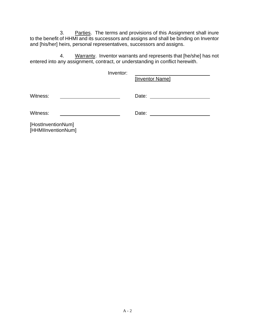3. Parties. The terms and provisions of this Assignment shall inure to the benefit of HHMI and its successors and assigns and shall be binding on Inventor and [his/her] heirs, personal representatives, successors and assigns.

4. Warranty. Inventor warrants and represents that [he/she] has not entered into any assignment, contract, or understanding in conflict herewith.

|                                          | Inventor: | [Inventor Name] |
|------------------------------------------|-----------|-----------------|
| Witness:                                 |           | Date:           |
| Witness:                                 |           | Date:           |
| [HostInventionNum]<br>[HHMIInventionNum] |           |                 |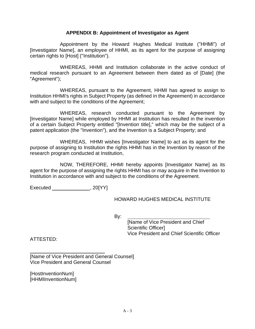#### **APPENDIX B: Appointment of Investigator as Agent**

<span id="page-20-0"></span>Appointment by the Howard Hughes Medical Institute ("HHMI") of [Investigator Name], an employee of HHMI, as its agent for the purpose of assigning certain rights to [Host] ("Institution").

WHEREAS, HHMI and Institution collaborate in the active conduct of medical research pursuant to an Agreement between them dated as of [Date] (the "Agreement");

WHEREAS, pursuant to the Agreement, HHMI has agreed to assign to Institution HHMI's rights in Subject Property (as defined in the Agreement) in accordance with and subject to the conditions of the Agreement;

WHEREAS, research conducted pursuant to the Agreement by [Investigator Name] while employed by HHMI at Institution has resulted in the invention of a certain Subject Property entitled "[Invention title]," which may be the subject of a patent application (the "Invention"), and the Invention is a Subject Property; and

WHEREAS, HHMI wishes [Investigator Name] to act as its agent for the purpose of assigning to Institution the rights HHMI has in the Invention by reason of the research program conducted at Institution,

NOW, THEREFORE, HHMI hereby appoints [Investigator Name] as its agent for the purpose of assigning the rights HHMI has or may acquire in the Invention to Institution in accordance with and subject to the conditions of the Agreement.

Executed , 20[YY]

## HOWARD HUGHES MEDICAL INSTITUTE

By:

[Name of Vice President and Chief Scientific Officer] Vice President and Chief Scientific Officer

ATTESTED:

[Name of Vice President and General Counsel] Vice President and General Counsel

[HostInventionNum] [HHMIInventionNum]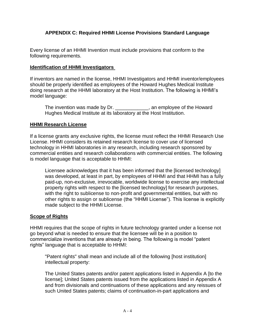# <span id="page-21-0"></span>**APPENDIX C: Required HHMI License Provisions Standard Language**

Every license of an HHMI Invention must include provisions that conform to the following requirements.

## **Identification of HHMI Investigators**

If inventors are named in the license, HHMI Investigators and HHMI inventor/employees should be properly identified as employees of the Howard Hughes Medical Institute doing research at the HHMI laboratory at the Host Institution. The following is HHMI's model language:

The invention was made by Dr. \_\_\_\_\_\_\_\_\_\_\_\_, an employee of the Howard Hughes Medical Institute at its laboratory at the Host Institution.

## **HHMI Research License**

If a license grants any exclusive rights, the license must reflect the HHMI Research Use License. HHMI considers its retained research license to cover use of licensed technology in HHMI laboratories in any research, including research sponsored by commercial entities and research collaborations with commercial entities. The following is model language that is acceptable to HHMI:

Licensee acknowledges that it has been informed that the [licensed technology] was developed, at least in part, by employees of HHMI and that HHMI has a fully paid-up, non-exclusive, irrevocable, worldwide license to exercise any intellectual property rights with respect to the [licensed technology] for research purposes, with the right to sublicense to non-profit and governmental entities, but with no other rights to assign or sublicense (the "HHMI License"). This license is explicitly made subject to the HHMI License.

# **Scope of Rights**

HHMI requires that the scope of rights in future technology granted under a license not go beyond what is needed to ensure that the licensee will be in a position to commercialize inventions that are already in being. The following is model "patent rights" language that is acceptable to HHMI:

"Patent rights" shall mean and include all of the following [host institution] intellectual property:

The United States patents and/or patent applications listed in Appendix A [to the license]; United States patents issued from the applications listed in Appendix A and from divisionals and continuations of these applications and any reissues of such United States patents; claims of continuation-in-part applications and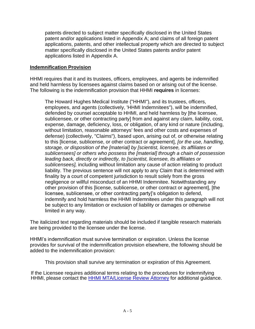patents directed to subject matter specifically disclosed in the United States patent and/or applications listed in Appendix A; and claims of all foreign patent applications, patents, and other intellectual property which are directed to subject matter specifically disclosed in the United States patents and/or patent applications listed in Appendix A.

# **Indemnification Provision**

HHMI requires that it and its trustees, officers, employees, and agents be indemnified and held harmless by licensees against claims based on or arising out of the license. The following is the indemnification provision that HHMI **requires** in licenses:

The Howard Hughes Medical Institute ("HHMI"), and its trustees, officers, employees, and agents (collectively, 'HHMI Indemnitees"), will be indemnified, defended by counsel acceptable to HHMI, and held harmless by [the licensee, sublicensee, or other contracting party] from and against any claim, liability, cost, expense, damage, deficiency, loss, or obligation, of any kind or nature (including, without limitation, reasonable attorneys' fees and other costs and expenses of defense) (collectively, "Claims"), based upon, arising out of, or otherwise relating to this [license, sublicense, or other contract or agreement], *[or the use, handling, storage, or disposition of the [material] by [scientist, licensee, its affiliates or sublicensees] or others who possess the [material] through a chain of possession leading back, directly or indirectly, to [scientist, licensee, its affiliates or sublicensees],* including without limitation any cause of action relating to product liability. The previous sentence will not apply to any Claim that is determined with finality by a court of competent jurisdiction to result solely from the gross negligence or willful misconduct of an HHMI Indemnitee. Notwithstanding any other provision of this [license, sublicense, or other contract or agreement], [the licensee, sublicensee, or other contracting party]'s obligation to defend, indemnify and hold harmless the HHMI Indemnitees under this paragraph will not be subject to any limitation or exclusion of liability or damages or otherwise limited in any way.

The italicized text regarding materials should be included if tangible research materials are being provided to the licensee under the license.

HHMI's indemnification must survive termination or expiration. Unless the license provides for survival of the indemnification provision elsewhere, the following should be added to the indemnification provision:

This provision shall survive any termination or expiration of this Agreement.

If the Licensee requires additional terms relating to the procedures for indemnifying HHMI, please contact the [HHMI MTA/License](mailto:http://www.hhmi.org/about/for-our-host-institutions/material-transfer-agreements-mtas-and-license-review) Review Attorney for additional guidance.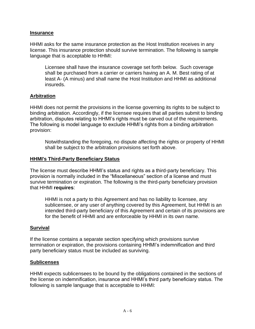## **Insurance**

HHMI asks for the same insurance protection as the Host Institution receives in any license. This insurance protection should survive termination. The following is sample language that is acceptable to HHMI:

Licensee shall have the insurance coverage set forth below. Such coverage shall be purchased from a carrier or carriers having an A. M. Best rating of at least A- (A minus) and shall name the Host Institution and HHMI as additional insureds.

# **Arbitration**

HHMI does not permit the provisions in the license governing its rights to be subject to binding arbitration. Accordingly, if the licensee requires that all parties submit to binding arbitration, disputes relating to HHMI's rights must be carved out of the requirements. The following is model language to exclude HHMI's rights from a binding arbitration provision:

Notwithstanding the foregoing, no dispute affecting the rights or property of HHMI shall be subject to the arbitration provisions set forth above.

## **HHMI's Third-Party Beneficiary Status**

The license must describe HHMI's status and rights as a third-party beneficiary. This provision is normally included in the "Miscellaneous" section of a license and must survive termination or expiration. The following is the third-party beneficiary provision that HHMI **requires**:

HHMI is not a party to this Agreement and has no liability to licensee, any sublicensee, or any user of anything covered by this Agreement, but HHMI is an intended third-party beneficiary of this Agreement and certain of its provisions are for the benefit of HHMI and are enforceable by HHMI in its own name.

## **Survival**

If the license contains a separate section specifying which provisions survive termination or expiration, the provisions containing HHMI's indemnification and third party beneficiary status must be included as surviving.

## **Sublicenses**

HHMI expects sublicensees to be bound by the obligations contained in the sections of the license on indemnification, insurance and HHMI's third party beneficiary status. The following is sample language that is acceptable to HHMI: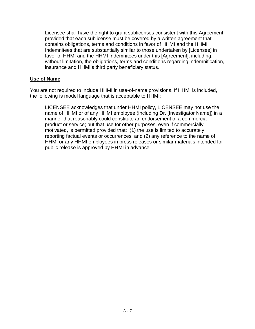Licensee shall have the right to grant sublicenses consistent with this Agreement, provided that each sublicense must be covered by a written agreement that contains obligations, terms and conditions in favor of HHMI and the HHMI Indemnitees that are substantially similar to those undertaken by [Licensee] in favor of HHMI and the HHMI Indemnitees under this [Agreement], including, without limitation, the obligations, terms and conditions regarding indemnification, insurance and HHMI's third party beneficiary status.

## **Use of Name**

You are not required to include HHMI in use-of-name provisions. If HHMI is included, the following is model language that is acceptable to HHMI:

LICENSEE acknowledges that under HHMI policy, LICENSEE may not use the name of HHMI or of any HHMI employee (including Dr. [Investigator Name]) in a manner that reasonably could constitute an endorsement of a commercial product or service; but that use for other purposes, even if commercially motivated, is permitted provided that: (1) the use is limited to accurately reporting factual events or occurrences, and (2) any reference to the name of HHMI or any HHMI employees in press releases or similar materials intended for public release is approved by HHMI in advance.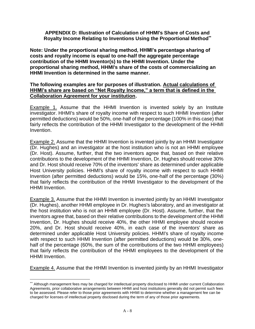<span id="page-25-0"></span>**APPENDIX D: Illustration of Calculation of HHMI's Share of Costs and Royalty Income Relating to Inventions Using the Proportional Method\*\***

**Note: Under the proportional sharing method, HHMI's percentage sharing of costs and royalty income is equal to one-half the aggregate percentage contribution of the HHMI Inventor(s) to the HHMI Invention. Under the proportional sharing method, HHMI's share of the costs of commercializing an HHMI Invention is determined in the same manner.**

### **The following examples are for purposes of illustration. Actual calculations of HHMI's share are based on "Net Royalty Income," a term that is defined in the Collaboration Agreement for your institution.**

Example 1. Assume that the HHMI Invention is invented solely by an Institute investigator. HHMI's share of royalty income with respect to such HHMI Invention (after permitted deductions) would be 50%, one-half of the percentage (100% in this case) that fairly reflects the contribution of the HHMI Investigator to the development of the HHMI Invention.

Example 2. Assume that the HHMI Invention is invented jointly by an HHMI Investigator (Dr. Hughes) and an investigator at the host institution who is not an HHMI employee (Dr. Host). Assume, further, that the two inventors agree that, based on their relative contributions to the development of the HHMI Invention, Dr. Hughes should receive 30% and Dr. Host should receive 70% of the inventors' share as determined under applicable Host University policies. HHMI's share of royalty income with respect to such HHMI Invention (after permitted deductions) would be 15%, one-half of the percentage (30%) that fairly reflects the contribution of the HHMI Investigator to the development of the HHMI Invention.

Example 3. Assume that the HHMI Invention is invented jointly by an HHMI Investigator (Dr. Hughes), another HHMI employee in Dr. Hughes's laboratory, and an investigator at the host institution who is not an HHMI employee (Dr. Host). Assume, further, that the inventors agree that, based on their relative contributions to the development of the HHMI Invention, Dr. Hughes should receive 40%, the other HHMI employee should receive 20%, and Dr. Host should receive 40%, in each case of the inventors' share as determined under applicable Host University policies. HHMI's share of royalty income with respect to such HHMI Invention (after permitted deductions) would be 30%, onehalf of the percentage (60%, the sum of the contributions of the two HHMI employees) that fairly reflects the contribution of the HHMI employees to the development of the HHMI Invention.

Example 4. Assume that the HHMI Invention is invented jointly by an HHMI Investigator

<sup>\*\*</sup> Although management fees may be charged for intellectual property disclosed to HHMI under current Collaboration Agreements, prior collaborative arrangements between HHMI and host institutions generally did not permit such fees to be assessed. Please refer to those prior agreements with HHMI to determine whether a management fee can be charged for licenses of intellectual property disclosed during the term of any of those prior agreements.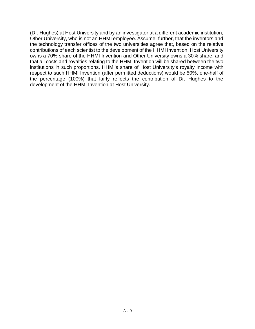(Dr. Hughes) at Host University and by an investigator at a different academic institution, Other University, who is not an HHMI employee. Assume, further, that the inventors and the technology transfer offices of the two universities agree that, based on the relative contributions of each scientist to the development of the HHMI Invention, Host University owns a 70% share of the HHMI Invention and Other University owns a 30% share, and that all costs and royalties relating to the HHMI Invention will be shared between the two institutions in such proportions. HHMI's share of Host University's royalty income with respect to such HHMI Invention (after permitted deductions) would be 50%, one-half of the percentage (100%) that fairly reflects the contribution of Dr. Hughes to the development of the HHMI Invention at Host University.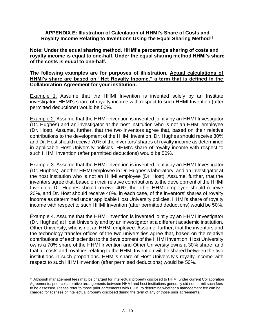#### <span id="page-27-0"></span>**APPENDIX E: Illustration of Calculation of HHMI's Share of Costs and Royalty Income Relating to Inventions Using the Equal Sharing Method††**

**Note: Under the equal sharing method, HHMI's percentage sharing of costs and royalty income is equal to one-half. Under the equal sharing method HHMI's share of the costs is equal to one-half.**

#### **The following examples are for purposes of illustration. Actual calculations of HHMI's share are based on "Net Royalty Income," a term that is defined in the Collaboration Agreement for your institution.**

Example 1. Assume that the HHMI Invention is invented solely by an Institute investigator. HHMI's share of royalty income with respect to such HHMI Invention (after permitted deductions) would be 50%.

Example 2. Assume that the HHMI Invention is invented jointly by an HHMI Investigator (Dr. Hughes) and an investigator at the host institution who is not an HHMI employee (Dr. Host). Assume, further, that the two inventors agree that, based on their relative contributions to the development of the HHMI Invention, Dr. Hughes should receive 30% and Dr. Host should receive 70% of the inventors' shares of royalty income as determined in applicable Host University policies. HHMI's share of royalty income with respect to such HHMI Invention (after permitted deductions) would be 50%.

Example 3. Assume that the HHMI Invention is invented jointly by an HHMI Investigator (Dr. Hughes), another HHMI employee in Dr. Hughes's laboratory, and an investigator at the host institution who is not an HHMI employee (Dr. Host). Assume, further, that the inventors agree that, based on their relative contributions to the development of the HHMI Invention, Dr. Hughes should receive 40%, the other HHMI employee should receive 20%, and Dr. Host should receive 40%, in each case, of the inventors' shares of royalty income as determined under applicable Host University policies. HHMI's share of royalty income with respect to such HHMI Invention (after permitted deductions) would be 50%.

Example 4. Assume that the HHMI Invention is invented jointly by an HHMI Investigator (Dr. Hughes) at Host University and by an investigator at a different academic institution, Other University, who is not an HHMI employee. Assume, further, that the inventors and the technology transfer offices of the two universities agree that, based on the relative contributions of each scientist to the development of the HHMI Invention, Host University owns a 70% share of the HHMI Invention and Other University owns a 30% share, and that all costs and royalties relating to the HHMI Invention will be shared between the two institutions in such proportions. HHMI's share of Host University's royalty income with respect to such HHMI Invention (after permitted deductions) would be 50%.

<sup>††</sup> Although management fees may be charged for intellectual property disclosed to HHMI under current Collaboration Agreements, prior collaborative arrangements between HHMI and host institutions generally did not permit such fees to be assessed. Please refer to those prior agreements with HHMI to determine whether a management fee can be charged for licenses of intellectual property disclosed during the term of any of those prior agreements.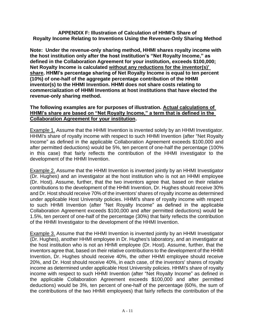## <span id="page-28-0"></span>**APPENDIX F: Illustration of Calculation of HHMI's Share of Royalty Income Relating to Inventions Using the Revenue-Only Sharing Method**

**Note: Under the revenue-only sharing method, HHMI shares royalty income with the host institution only after the host institution's "Net Royalty Income," as defined in the Collaboration Agreement for your institution, exceeds \$100,000; Net Royalty Income is calculated without any reductions for the inventor(s)' share. HHMI's percentage sharing of Net Royalty Income is equal to ten percent (10%) of one-half of the aggregate percentage contribution of the HHMI inventor(s) to the HHMI Invention. HHMI does not share costs relating to commercialization of HHMI Inventions at host institutions that have elected the revenue-only sharing method.**

## **The following examples are for purposes of illustration. Actual calculations of HHMI's share are based on "Net Royalty Income," a term that is defined in the Collaboration Agreement for your institution.**

Example 1. Assume that the HHMI Invention is invented solely by an HHMI Investigator. HHMI's share of royalty income with respect to such HHMI Invention (after "Net Royalty Income" as defined in the applicable Collaboration Agreement exceeds \$100,000 and after permitted deductions) would be 5%, ten percent of one-half the percentage (100% in this case) that fairly reflects the contribution of the HHMI investigator to the development of the HHMI Invention.

Example 2. Assume that the HHMI Invention is invented jointly by an HHMI Investigator (Dr. Hughes) and an investigator at the host institution who is not an HHMI employee (Dr. Host). Assume, further, that the two inventors agree that, based on their relative contributions to the development of the HHMI Invention, Dr. Hughes should receive 30% and Dr. Host should receive 70% of the inventors' shares of royalty income as determined under applicable Host University policies. HHMI's share of royalty income with respect to such HHMI Invention (after "Net Royalty Income" as defined in the applicable Collaboration Agreement exceeds \$100,000 and after permitted deductions) would be 1.5%, ten percent of one-half of the percentage (30%) that fairly reflects the contribution of the HHMI Investigator to the development of the HHMI Invention.

Example 3. Assume that the HHMI Invention is invented jointly by an HHMI Investigator (Dr. Hughes), another HHMI employee in Dr. Hughes's laboratory, and an investigator at the host institution who is not an HHMI employee (Dr. Host). Assume, further, that the inventors agree that, based on their relative contributions to the development of the HHMI Invention, Dr. Hughes should receive 40%, the other HHMI employee should receive 20%, and Dr. Host should receive 40%, in each case, of the inventors' shares of royalty income as determined under applicable Host University policies. HHMI's share of royalty income with respect to such HHMI Invention (after "Net Royalty Income" as defined in the applicable Collaboration Agreement exceeds \$100,000 and after permitted deductions) would be 3%, ten percent of one-half of the percentage (60%, the sum of the contributions of the two HHMI employees) that fairly reflects the contribution of the